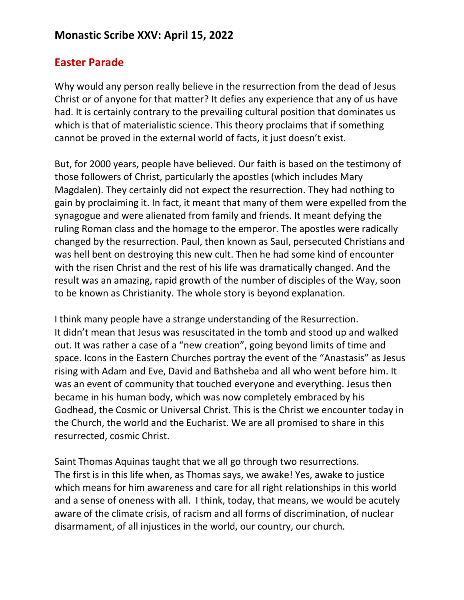# **Monastic Scribe XXV: April 15, 2022**

### **Easter Parade**

Why would any person really believe in the resurrection from the dead of Jesus Christ or of anyone for that matter? It defies any experience that any of us have had. It is certainly contrary to the prevailing cultural position that dominates us which is that of materialistic science. This theory proclaims that if something cannot be proved in the external world of facts, it just doesn't exist.

But, for 2000 years, people have believed. Our faith is based on the testimony of those followers of Christ, particularly the apostles (which includes Mary Magdalen). They certainly did not expect the resurrection. They had nothing to gain by proclaiming it. In fact, it meant that many of them were expelled from the synagogue and were alienated from family and friends. It meant defying the ruling Roman class and the homage to the emperor. The apostles were radically changed by the resurrection. Paul, then known as Saul, persecuted Christians and was hell bent on destroying this new cult. Then he had some kind of encounter with the risen Christ and the rest of his life was dramatically changed. And the result was an amazing, rapid growth of the number of disciples of the Way, soon to be known as Christianity. The whole story is beyond explanation.

I think many people have a strange understanding of the Resurrection. It didn't mean that Jesus was resuscitated in the tomb and stood up and walked out. It was rather a case of a "new creation", going beyond limits of time and space. Icons in the Eastern Churches portray the event of the "Anastasis" as Jesus rising with Adam and Eve, David and Bathsheba and all who went before him. It was an event of community that touched everyone and everything. Jesus then became in his human body, which was now completely embraced by his Godhead, the Cosmic or Universal Christ. This is the Christ we encounter today in the Church, the world and the Eucharist. We are all promised to share in this resurrected, cosmic Christ.

Saint Thomas Aquinas taught that we all go through two resurrections. The first is in this life when, as Thomas says, we awake! Yes, awake to justice which means for him awareness and care for all right relationships in this world and a sense of oneness with all. I think, today, that means, we would be acutely aware of the climate crisis, of racism and all forms of discrimination, of nuclear disarmament, of all injustices in the world, our country, our church.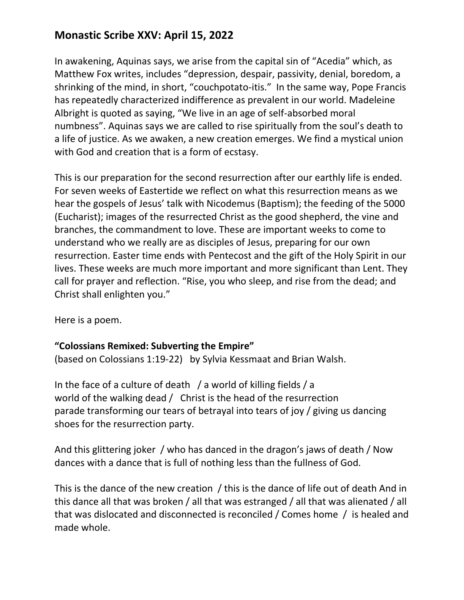# **Monastic Scribe XXV: April 15, 2022**

In awakening, Aquinas says, we arise from the capital sin of "Acedia" which, as Matthew Fox writes, includes "depression, despair, passivity, denial, boredom, a shrinking of the mind, in short, "couchpotato-itis." In the same way, Pope Francis has repeatedly characterized indifference as prevalent in our world. Madeleine Albright is quoted as saying, "We live in an age of self-absorbed moral numbness". Aquinas says we are called to rise spiritually from the soul's death to a life of justice. As we awaken, a new creation emerges. We find a mystical union with God and creation that is a form of ecstasy.

This is our preparation for the second resurrection after our earthly life is ended. For seven weeks of Eastertide we reflect on what this resurrection means as we hear the gospels of Jesus' talk with Nicodemus (Baptism); the feeding of the 5000 (Eucharist); images of the resurrected Christ as the good shepherd, the vine and branches, the commandment to love. These are important weeks to come to understand who we really are as disciples of Jesus, preparing for our own resurrection. Easter time ends with Pentecost and the gift of the Holy Spirit in our lives. These weeks are much more important and more significant than Lent. They call for prayer and reflection. "Rise, you who sleep, and rise from the dead; and Christ shall enlighten you."

Here is a poem.

#### **"Colossians Remixed: Subverting the Empire"**

(based on Colossians 1:19-22) by Sylvia Kessmaat and Brian Walsh.

In the face of a culture of death / a world of killing fields / a world of the walking dead / Christ is the head of the resurrection parade transforming our tears of betrayal into tears of joy / giving us dancing shoes for the resurrection party.

And this glittering joker / who has danced in the dragon's jaws of death / Now dances with a dance that is full of nothing less than the fullness of God.

This is the dance of the new creation / this is the dance of life out of death And in this dance all that was broken / all that was estranged / all that was alienated / all that was dislocated and disconnected is reconciled / Comes home / is healed and made whole.